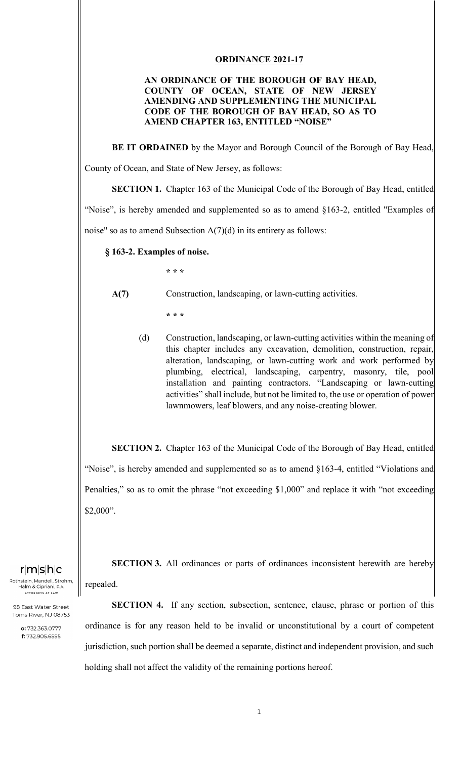## **ORDINANCE 2021-17**

## **AN ORDINANCE OF THE BOROUGH OF BAY HEAD, COUNTY OF OCEAN, STATE OF NEW JERSEY AMENDING AND SUPPLEMENTING THE MUNICIPAL CODE OF THE BOROUGH OF BAY HEAD, SO AS TO AMEND CHAPTER 163, ENTITLED "NOISE"**

 **BE IT ORDAINED** by the Mayor and Borough Council of the Borough of Bay Head,

County of Ocean, and State of New Jersey, as follows:

**SECTION 1.** Chapter 163 of the Municipal Code of the Borough of Bay Head, entitled

"Noise", is hereby amended and supplemented so as to amend §163-2, entitled "Examples of noise" so as to amend Subsection  $A(7)(d)$  in its entirety as follows:

**§ 163-2. Examples of noise.** 

 **\* \* \*** 

- **A(7)** Construction, landscaping, or lawn-cutting activities.
	- **\* \* \***
	- (d) Construction, landscaping, or lawn-cutting activities within the meaning of this chapter includes any excavation, demolition, construction, repair, alteration, landscaping, or lawn-cutting work and work performed by plumbing, electrical, landscaping, carpentry, masonry, tile, pool installation and painting contractors. "Landscaping or lawn-cutting activities" shall include, but not be limited to, the use or operation of power lawnmowers, leaf blowers, and any noise-creating blower.

**SECTION 2.** Chapter 163 of the Municipal Code of the Borough of Bay Head, entitled "Noise", is hereby amended and supplemented so as to amend §163-4, entitled "Violations and Penalties," so as to omit the phrase "not exceeding \$1,000" and replace it with "not exceeding \$2,000".

 $r|m|s|h|c$ 

.<br>Rothstein, Mandell, Strohm, Halm & Cipriani, ATTORNEYS AT LAW

98 East Water Street Toms River, NJ 08753

> o: 732.363.0777 f: 732.905.6555

 **SECTION 3.** All ordinances or parts of ordinances inconsistent herewith are hereby repealed.

**SECTION 4.** If any section, subsection, sentence, clause, phrase or portion of this ordinance is for any reason held to be invalid or unconstitutional by a court of competent jurisdiction, such portion shall be deemed a separate, distinct and independent provision, and such holding shall not affect the validity of the remaining portions hereof.